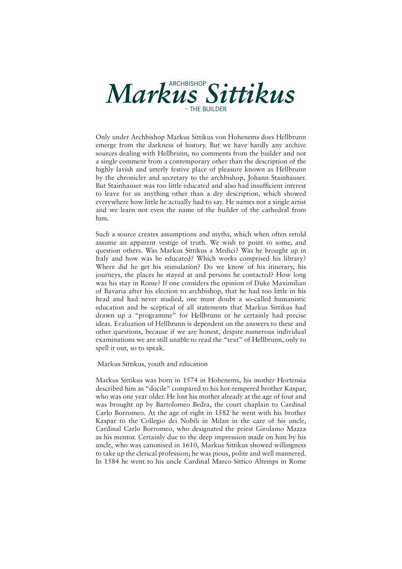

Only under Archbishop Markus Sittikus von Hohenems does Hellbrunn emerge from the darkness of history. But we have hardly any archive sources dealing with Hellbrunn, no comments from the builder and not a single comment from a contemporary other than the description of the highly lavish and utterly festive place of pleasure known as Hellbrunn by the chronicler and secretary to the archbishop, Johann Stainhauser. But Stainhauser was too little educated and also had insufficient interest to leave for us anything other than a dry description, which showed everywhere how little he actually had to say. He names not a single artist and we learn not even the name of the builder of the cathedral from him.

Such a source creates assumptions and myths, which when often retold assume an apparent vestige of truth. We wish to point to some, and question others. Was Markus Sittikus a Medici? Was he brought up in Italy and how was he educated? Which works comprised his library? Where did he get his stimulation? Do we know of his itinerary, his journeys, the places he stayed at and persons he contacted? How long was his stay in Rome? If one considers the opinion of Duke Maximilian of Bavaria after his election to archbishop, that he had too little in his head and had never studied, one must doubt a so-called humanistic education and be sceptical of all statements that Markus Sittikus had drawn up a "programme" for Hellbrunn or he certainly had precise ideas. Evaluation of Hellbrunn is dependent on the answers to these and other questions, because if we are honest, despite numerous individual examinations we are still unable to read the "text" of Hellbrunn, only to spell it out, so to speak.

Markus Sittikus, youth and education

Markus Sittikus was born in 1574 in Hohenems, his mother Hortensia described him as "docile" compared to his hot-tempered brother Kaspar, who was one year older. He lost his mother already at the age of four and was brought up by Bartolomeo Bedra, the court chaplain to Cardinal Carlo Borromeo. At the age of eight in 1582 he went with his brother Kaspar to the Collegio dei Nobili in Milan in the care of his uncle, Cardinal Carlo Borromeo, who designated the priest Girolamo Mazza as his mentor. Certainly due to the deep impression made on him by his uncle, who was canonised in 1610, Markus Sittikus showed willingness to take up the clerical profession; he was pious, polite and well mannered. In 1584 he went to his uncle Cardinal Marco Sittico Altemps in Rome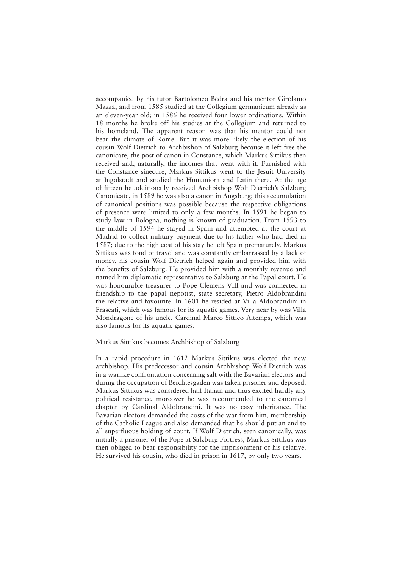accompanied by his tutor Bartolomeo Bedra and his mentor Girolamo Mazza, and from 1585 studied at the Collegium germanicum already as an eleven-year old; in 1586 he received four lower ordinations. Within 18 months he broke off his studies at the Collegium and returned to his homeland. The apparent reason was that his mentor could not bear the climate of Rome. But it was more likely the election of his cousin Wolf Dietrich to Archbishop of Salzburg because it left free the canonicate, the post of canon in Constance, which Markus Sittikus then received and, naturally, the incomes that went with it. Furnished with the Constance sinecure, Markus Sittikus went to the Jesuit University at Ingolstadt and studied the Humaniora and Latin there. At the age of fifteen he additionally received Archbishop Wolf Dietrich's Salzburg Canonicate, in 1589 he was also a canon in Augsburg; this accumulation of canonical positions was possible because the respective obligations of presence were limited to only a few months. In 1591 he began to study law in Bologna, nothing is known of graduation. From 1593 to the middle of 1594 he stayed in Spain and attempted at the court at Madrid to collect military payment due to his father who had died in 1587; due to the high cost of his stay he left Spain prematurely. Markus Sittikus was fond of travel and was constantly embarrassed by a lack of money, his cousin Wolf Dietrich helped again and provided him with the benefits of Salzburg. He provided him with a monthly revenue and named him diplomatic representative to Salzburg at the Papal court. He was honourable treasurer to Pope Clemens VIII and was connected in friendship to the papal nepotist, state secretary, Pietro Aldobrandini the relative and favourite. In 1601 he resided at Villa Aldobrandini in Frascati, which was famous for its aquatic games. Very near by was Villa Mondragone of his uncle, Cardinal Marco Sittico Altemps, which was also famous for its aquatic games.

## Markus Sittikus becomes Archbishop of Salzburg

In a rapid procedure in 1612 Markus Sittikus was elected the new archbishop. His predecessor and cousin Archbishop Wolf Dietrich was in a warlike confrontation concerning salt with the Bavarian electors and during the occupation of Berchtesgaden was taken prisoner and deposed. Markus Sittikus was considered half Italian and thus excited hardly any political resistance, moreover he was recommended to the canonical chapter by Cardinal Aldobrandini. It was no easy inheritance. The Bavarian electors demanded the costs of the war from him, membership of the Catholic League and also demanded that he should put an end to all superfluous holding of court. If Wolf Dietrich, seen canonically, was initially a prisoner of the Pope at Salzburg Fortress, Markus Sittikus was then obliged to bear responsibility for the imprisonment of his relative. He survived his cousin, who died in prison in 1617, by only two years.